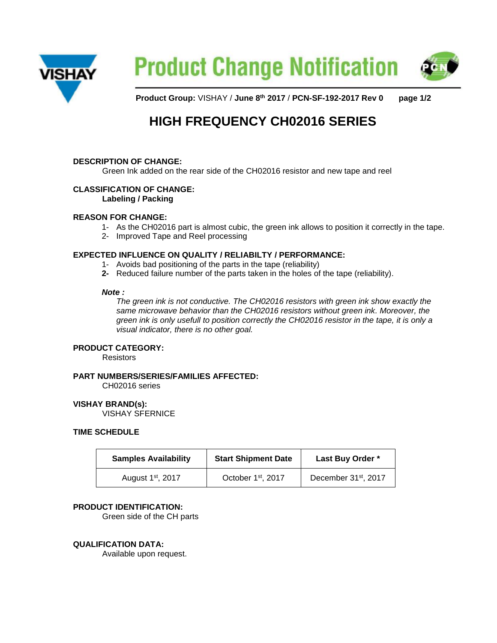

**Product Change Notification** 



**Product Group:** VISHAY / **June 8th 2017** / **PCN-SF-192-2017 Rev 0 page 1/2**

# **HIGH FREQUENCY CH02016 SERIES**

# **DESCRIPTION OF CHANGE:**

Green Ink added on the rear side of the CH02016 resistor and new tape and reel

# **CLASSIFICATION OF CHANGE:**

**Labeling / Packing**

## **REASON FOR CHANGE:**

- 1- As the CH02016 part is almost cubic, the green ink allows to position it correctly in the tape.
- 2- Improved Tape and Reel processing

## **EXPECTED INFLUENCE ON QUALITY / RELIABILTY / PERFORMANCE:**

- 1- Avoids bad positioning of the parts in the tape (reliability)
- **2-** Reduced failure number of the parts taken in the holes of the tape (reliability).

#### *Note :*

*The green ink is not conductive. The CH02016 resistors with green ink show exactly the same microwave behavior than the CH02016 resistors without green ink. Moreover, the green ink is only usefull to position correctly the CH02016 resistor in the tape, it is only a visual indicator, there is no other goal.* 

## **PRODUCT CATEGORY:**

**Resistors** 

## **PART NUMBERS/SERIES/FAMILIES AFFECTED:**

CH02016 series

## **VISHAY BRAND(s):**

VISHAY SFERNICE

# **TIME SCHEDULE**

| <b>Samples Availability</b> | <b>Start Shipment Date</b> | Last Buy Order *                 |
|-----------------------------|----------------------------|----------------------------------|
| August $1st$ , 2017         | October 1st, 2017          | December 31 <sup>st</sup> , 2017 |

# **PRODUCT IDENTIFICATION:**

Green side of the CH parts

## **QUALIFICATION DATA:**

Available upon request.